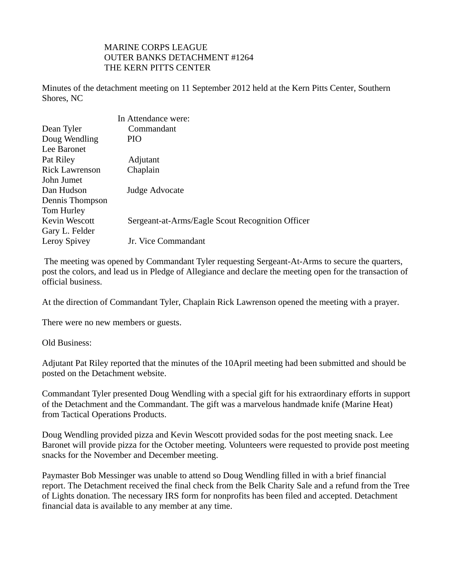## MARINE CORPS LEAGUE OUTER BANKS DETACHMENT #1264 THE KERN PITTS CENTER

Minutes of the detachment meeting on 11 September 2012 held at the Kern Pitts Center, Southern Shores, NC

|                       | In Attendance were:                              |
|-----------------------|--------------------------------------------------|
| Dean Tyler            | Commandant                                       |
| Doug Wendling         | PIO                                              |
| Lee Baronet           |                                                  |
| Pat Riley             | Adjutant                                         |
| <b>Rick Lawrenson</b> | Chaplain                                         |
| John Jumet            |                                                  |
| Dan Hudson            | Judge Advocate                                   |
| Dennis Thompson       |                                                  |
| Tom Hurley            |                                                  |
| Kevin Wescott         | Sergeant-at-Arms/Eagle Scout Recognition Officer |
| Gary L. Felder        |                                                  |
| Leroy Spivey          | Jr. Vice Commandant                              |
|                       |                                                  |

 The meeting was opened by Commandant Tyler requesting Sergeant-At-Arms to secure the quarters, post the colors, and lead us in Pledge of Allegiance and declare the meeting open for the transaction of official business.

At the direction of Commandant Tyler, Chaplain Rick Lawrenson opened the meeting with a prayer.

There were no new members or guests.

Old Business:

Adjutant Pat Riley reported that the minutes of the 10April meeting had been submitted and should be posted on the Detachment website.

Commandant Tyler presented Doug Wendling with a special gift for his extraordinary efforts in support of the Detachment and the Commandant. The gift was a marvelous handmade knife (Marine Heat) from Tactical Operations Products.

Doug Wendling provided pizza and Kevin Wescott provided sodas for the post meeting snack. Lee Baronet will provide pizza for the October meeting. Volunteers were requested to provide post meeting snacks for the November and December meeting.

Paymaster Bob Messinger was unable to attend so Doug Wendling filled in with a brief financial report. The Detachment received the final check from the Belk Charity Sale and a refund from the Tree of Lights donation. The necessary IRS form for nonprofits has been filed and accepted. Detachment financial data is available to any member at any time.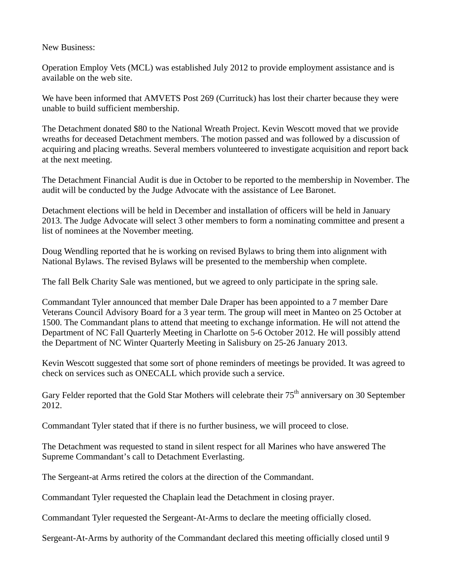New Business:

Operation Employ Vets (MCL) was established July 2012 to provide employment assistance and is available on the web site.

We have been informed that AMVETS Post 269 (Currituck) has lost their charter because they were unable to build sufficient membership.

The Detachment donated \$80 to the National Wreath Project. Kevin Wescott moved that we provide wreaths for deceased Detachment members. The motion passed and was followed by a discussion of acquiring and placing wreaths. Several members volunteered to investigate acquisition and report back at the next meeting.

The Detachment Financial Audit is due in October to be reported to the membership in November. The audit will be conducted by the Judge Advocate with the assistance of Lee Baronet.

Detachment elections will be held in December and installation of officers will be held in January 2013. The Judge Advocate will select 3 other members to form a nominating committee and present a list of nominees at the November meeting.

Doug Wendling reported that he is working on revised Bylaws to bring them into alignment with National Bylaws. The revised Bylaws will be presented to the membership when complete.

The fall Belk Charity Sale was mentioned, but we agreed to only participate in the spring sale.

Commandant Tyler announced that member Dale Draper has been appointed to a 7 member Dare Veterans Council Advisory Board for a 3 year term. The group will meet in Manteo on 25 October at 1500. The Commandant plans to attend that meeting to exchange information. He will not attend the Department of NC Fall Quarterly Meeting in Charlotte on 5-6 October 2012. He will possibly attend the Department of NC Winter Quarterly Meeting in Salisbury on 25-26 January 2013.

Kevin Wescott suggested that some sort of phone reminders of meetings be provided. It was agreed to check on services such as ONECALL which provide such a service.

Gary Felder reported that the Gold Star Mothers will celebrate their 75<sup>th</sup> anniversary on 30 September 2012.

Commandant Tyler stated that if there is no further business, we will proceed to close.

The Detachment was requested to stand in silent respect for all Marines who have answered The Supreme Commandant's call to Detachment Everlasting.

The Sergeant-at Arms retired the colors at the direction of the Commandant.

Commandant Tyler requested the Chaplain lead the Detachment in closing prayer.

Commandant Tyler requested the Sergeant-At-Arms to declare the meeting officially closed.

Sergeant-At-Arms by authority of the Commandant declared this meeting officially closed until 9